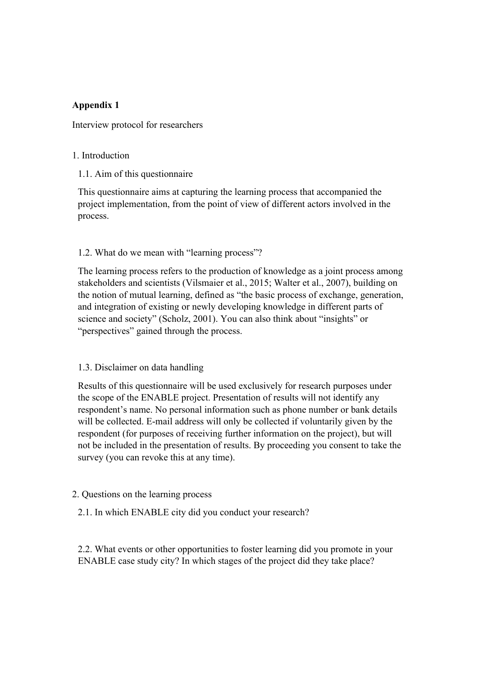# **Appendix 1**

Interview protocol for researchers

#### 1. Introduction

1.1. Aim of this questionnaire

This questionnaire aims at capturing the learning process that accompanied the project implementation, from the point of view of different actors involved in the process.

## 1.2. What do we mean with "learning process"?

The learning process refers to the production of knowledge as a joint process among stakeholders and scientists (Vilsmaier et al., 2015; Walter et al., 2007), building on the notion of mutual learning, defined as "the basic process of exchange, generation, and integration of existing or newly developing knowledge in different parts of science and society" (Scholz, 2001). You can also think about "insights" or "perspectives" gained through the process.

## 1.3. Disclaimer on data handling

Results of this questionnaire will be used exclusively for research purposes under the scope of the ENABLE project. Presentation of results will not identify any respondent's name. No personal information such as phone number or bank details will be collected. E-mail address will only be collected if voluntarily given by the respondent (for purposes of receiving further information on the project), but will not be included in the presentation of results. By proceeding you consent to take the survey (you can revoke this at any time).

## 2. Questions on the learning process

2.1. In which ENABLE city did you conduct your research?

2.2. What events or other opportunities to foster learning did you promote in your ENABLE case study city? In which stages of the project did they take place?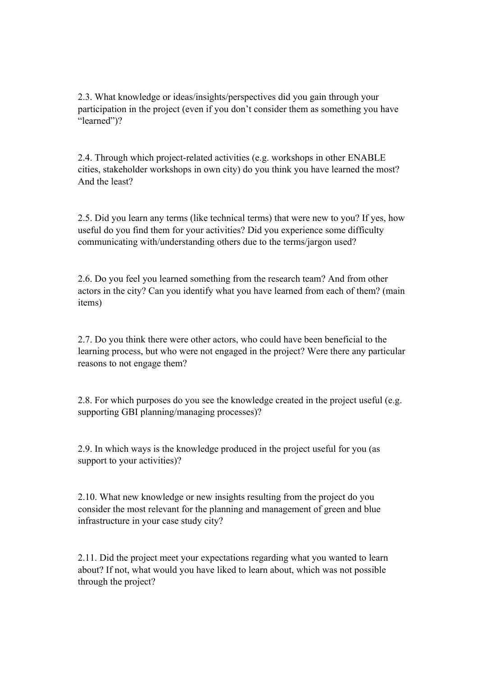2.3. What knowledge or ideas/insights/perspectives did you gain through your participation in the project (even if you don't consider them as something you have "learned")?

2.4. Through which project-related activities (e.g. workshops in other ENABLE cities, stakeholder workshops in own city) do you think you have learned the most? And the least?

2.5. Did you learn any terms (like technical terms) that were new to you? If yes, how useful do you find them for your activities? Did you experience some difficulty communicating with/understanding others due to the terms/jargon used?

2.6. Do you feel you learned something from the research team? And from other actors in the city? Can you identify what you have learned from each of them? (main items)

2.7. Do you think there were other actors, who could have been beneficial to the learning process, but who were not engaged in the project? Were there any particular reasons to not engage them?

2.8. For which purposes do you see the knowledge created in the project useful (e.g. supporting GBI planning/managing processes)?

2.9. In which ways is the knowledge produced in the project useful for you (as support to your activities)?

2.10. What new knowledge or new insights resulting from the project do you consider the most relevant for the planning and management of green and blue infrastructure in your case study city?

2.11. Did the project meet your expectations regarding what you wanted to learn about? If not, what would you have liked to learn about, which was not possible through the project?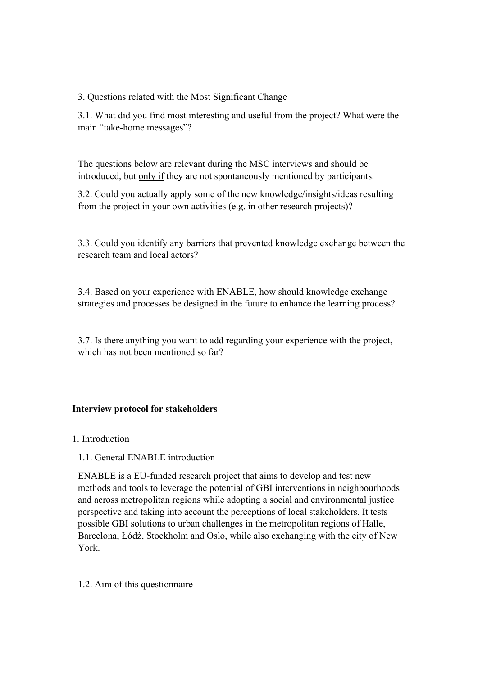3. Questions related with the Most Significant Change

3.1. What did you find most interesting and useful from the project? What were the main "take-home messages"?

The questions below are relevant during the MSC interviews and should be introduced, but only if they are not spontaneously mentioned by participants.

3.2. Could you actually apply some of the new knowledge/insights/ideas resulting from the project in your own activities (e.g. in other research projects)?

3.3. Could you identify any barriers that prevented knowledge exchange between the research team and local actors?

3.4. Based on your experience with ENABLE, how should knowledge exchange strategies and processes be designed in the future to enhance the learning process?

3.7. Is there anything you want to add regarding your experience with the project, which has not been mentioned so far?

## **Interview protocol for stakeholders**

#### 1. Introduction

## 1.1. General ENABLE introduction

ENABLE is a EU-funded research project that aims to develop and test new methods and tools to leverage the potential of GBI interventions in neighbourhoods and across metropolitan regions while adopting a social and environmental justice perspective and taking into account the perceptions of local stakeholders. It tests possible GBI solutions to urban challenges in the metropolitan regions of Halle, Barcelona, Łódź, Stockholm and Oslo, while also exchanging with the city of New York.

#### 1.2. Aim of this questionnaire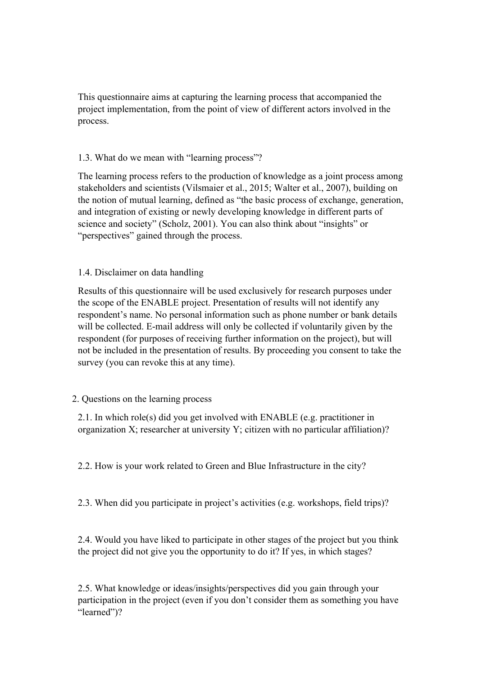This questionnaire aims at capturing the learning process that accompanied the project implementation, from the point of view of different actors involved in the process.

# 1.3. What do we mean with "learning process"?

The learning process refers to the production of knowledge as a joint process among stakeholders and scientists (Vilsmaier et al., 2015; Walter et al., 2007), building on the notion of mutual learning, defined as "the basic process of exchange, generation, and integration of existing or newly developing knowledge in different parts of science and society" (Scholz, 2001). You can also think about "insights" or "perspectives" gained through the process.

# 1.4. Disclaimer on data handling

Results of this questionnaire will be used exclusively for research purposes under the scope of the ENABLE project. Presentation of results will not identify any respondent's name. No personal information such as phone number or bank details will be collected. E-mail address will only be collected if voluntarily given by the respondent (for purposes of receiving further information on the project), but will not be included in the presentation of results. By proceeding you consent to take the survey (you can revoke this at any time).

## 2. Questions on the learning process

2.1. In which role(s) did you get involved with ENABLE (e.g. practitioner in organization X; researcher at university Y; citizen with no particular affiliation)?

2.2. How is your work related to Green and Blue Infrastructure in the city?

2.3. When did you participate in project's activities (e.g. workshops, field trips)?

2.4. Would you have liked to participate in other stages of the project but you think the project did not give you the opportunity to do it? If yes, in which stages?

2.5. What knowledge or ideas/insights/perspectives did you gain through your participation in the project (even if you don't consider them as something you have "learned")?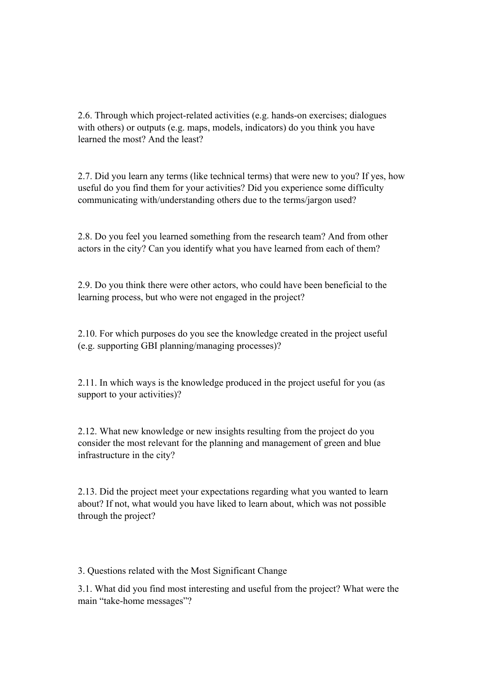2.6. Through which project-related activities (e.g. hands-on exercises; dialogues with others) or outputs (e.g. maps, models, indicators) do you think you have learned the most? And the least?

2.7. Did you learn any terms (like technical terms) that were new to you? If yes, how useful do you find them for your activities? Did you experience some difficulty communicating with/understanding others due to the terms/jargon used?

2.8. Do you feel you learned something from the research team? And from other actors in the city? Can you identify what you have learned from each of them?

2.9. Do you think there were other actors, who could have been beneficial to the learning process, but who were not engaged in the project?

2.10. For which purposes do you see the knowledge created in the project useful (e.g. supporting GBI planning/managing processes)?

2.11. In which ways is the knowledge produced in the project useful for you (as support to your activities)?

2.12. What new knowledge or new insights resulting from the project do you consider the most relevant for the planning and management of green and blue infrastructure in the city?

2.13. Did the project meet your expectations regarding what you wanted to learn about? If not, what would you have liked to learn about, which was not possible through the project?

3. Questions related with the Most Significant Change

3.1. What did you find most interesting and useful from the project? What were the main "take-home messages"?